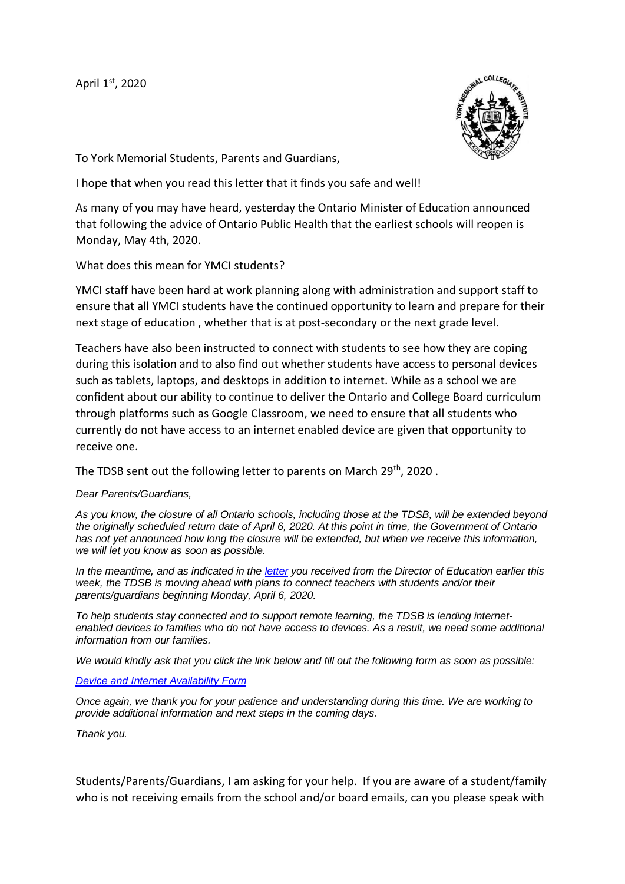April 1st, 2020



To York Memorial Students, Parents and Guardians,

I hope that when you read this letter that it finds you safe and well!

As many of you may have heard, yesterday the Ontario Minister of Education announced that following the advice of Ontario Public Health that the earliest schools will reopen is Monday, May 4th, 2020.

What does this mean for YMCI students?

YMCI staff have been hard at work planning along with administration and support staff to ensure that all YMCI students have the continued opportunity to learn and prepare for their next stage of education , whether that is at post-secondary or the next grade level.

Teachers have also been instructed to connect with students to see how they are coping during this isolation and to also find out whether students have access to personal devices such as tablets, laptops, and desktops in addition to internet. While as a school we are confident about our ability to continue to deliver the Ontario and College Board curriculum through platforms such as Google Classroom, we need to ensure that all students who currently do not have access to an internet enabled device are given that opportunity to receive one.

The TDSB sent out the following letter to parents on March 29<sup>th</sup>, 2020.

## *Dear Parents/Guardians,*

*As you know, the closure of all Ontario schools, including those at the TDSB, will be extended beyond the originally scheduled return date of April 6, 2020. At this point in time, the Government of Ontario has not yet announced how long the closure will be extended, but when we receive this information, we will let you know as soon as possible.*

*In the meantime, and as indicated in the [letter](http://track.spe.schoolmessenger.com/f/a/vkiRWzwDBjlhFMEXob6D-A~~/AAAAAQA~/RgRgYi5qP0RzaHR0cHM6Ly93d3cudGRzYi5vbi5jYS9OZXdzL0FydGljbGUtRGV0YWlscy9BcnRNSUQvNDc0L0FydGljbGVJRC8xNDM5L0xldHRlci1mcm9tLURpcmVjdG9yLW9mLUVkdWNhdGlvbi1Kb2huLU1hbGxveVcHc2Nob29sbUIKAADq-oBepXmTclIVbGVzbGllLmZveEB0ZHNiLm9uLmNhWAQAAAAC) you received from the Director of Education earlier this week, the TDSB is moving ahead with plans to connect teachers with students and/or their parents/guardians beginning Monday, April 6, 2020.*

*To help students stay connected and to support remote learning, the TDSB is lending internetenabled devices to families who do not have access to devices. As a result, we need some additional information from our families.*

*We would kindly ask that you click the link below and fill out the following form as soon as possible:*

## *[Device and Internet Availability Form](http://track.spe.schoolmessenger.com/f/a/Z2liTSA3Ck8UHMo8-qsFAg~~/AAAAAQA~/RgRgYi5qP0Q6aHR0cHM6Ly90ZHNiLmNhMS5xdWFsdHJpY3MuY29tL2pmZS9mb3JtL1NWXzI0Q1NJdE16bllYYWJyZlcHc2Nob29sbUIKAADq-oBepXmTclIVbGVzbGllLmZveEB0ZHNiLm9uLmNhWAQAAAAC)*

*Once again, we thank you for your patience and understanding during this time. We are working to provide additional information and next steps in the coming days.*

*Thank you.*

Students/Parents/Guardians, I am asking for your help. If you are aware of a student/family who is not receiving emails from the school and/or board emails, can you please speak with